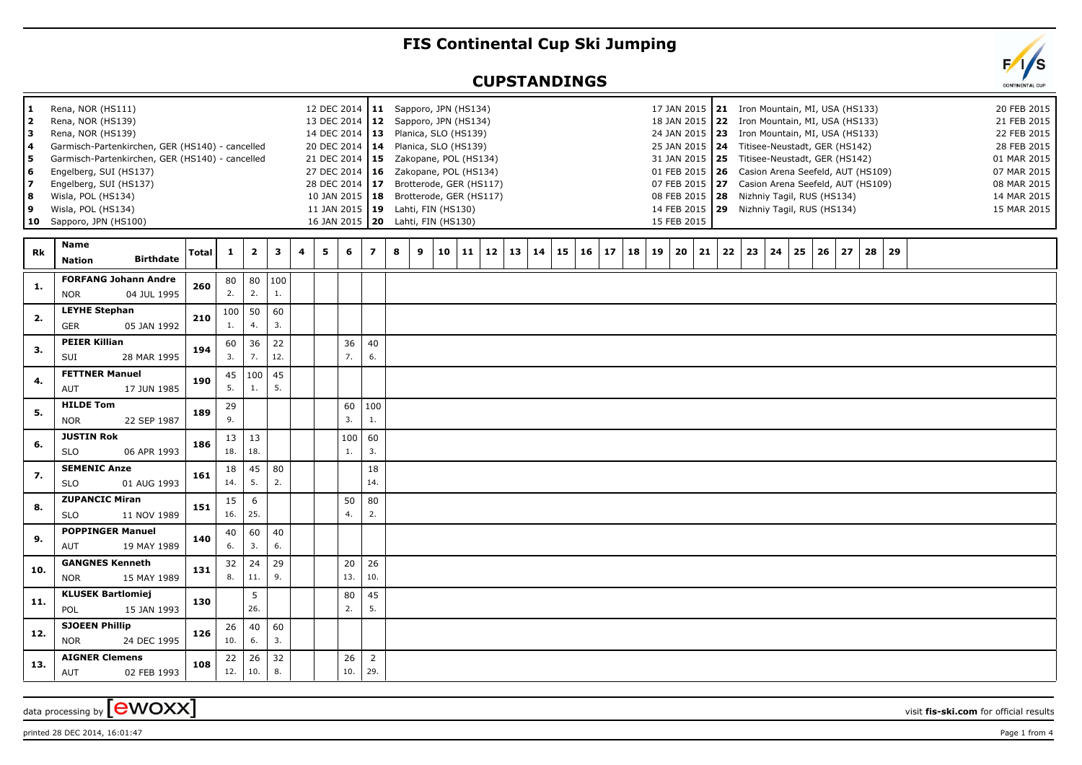## **FIS Continental Cup Ski Jumping**

## **CUPSTANDINGS**



data processing by **CWOXX**  $\overline{\phantom{a}}$  visit **fis-ski.com** for official results

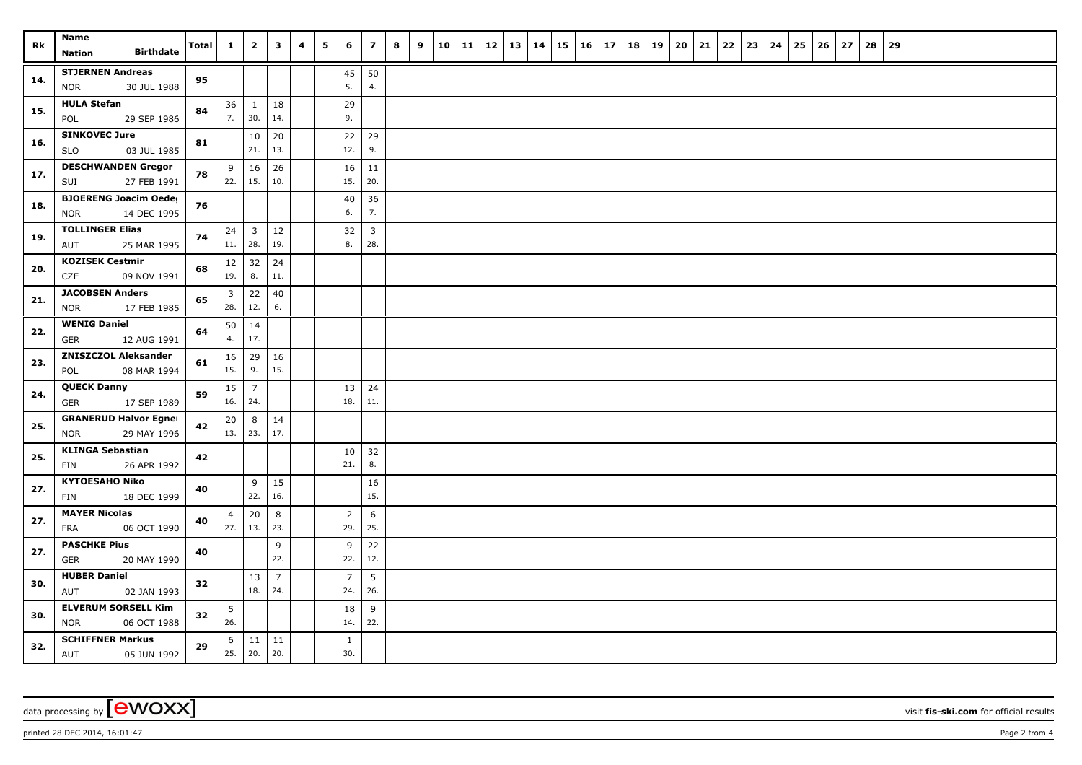| Rk  | Name<br><b>Birthdate</b><br><b>Nation</b>                 | Total | $\mathbf{1}$                   | $\overline{\mathbf{2}}$        | 3                     | 4 | 5 | 6                     | $\overline{\mathbf{z}}$ | 8 | 9 | 10 | 11 | $12$ | 13 | 14 | 15 | 16 | 17 | 18 | 19 | 20 | 21 | $22 \mid 23$ | 24 | 25 | 26 | 27 | 28 | 29 |  |  |  |
|-----|-----------------------------------------------------------|-------|--------------------------------|--------------------------------|-----------------------|---|---|-----------------------|-------------------------|---|---|----|----|------|----|----|----|----|----|----|----|----|----|--------------|----|----|----|----|----|----|--|--|--|
| 14. | <b>STJERNEN Andreas</b><br><b>NOR</b><br>30 JUL 1988      | 95    |                                |                                |                       |   |   | 45<br>5.              | 50<br>4.                |   |   |    |    |      |    |    |    |    |    |    |    |    |    |              |    |    |    |    |    |    |  |  |  |
| 15. | <b>HULA Stefan</b><br>29 SEP 1986<br>POL                  | 84    | 36<br>7.                       | $\mathbf{1}$<br>30.            | 18<br>14.             |   |   | 29<br>9.              |                         |   |   |    |    |      |    |    |    |    |    |    |    |    |    |              |    |    |    |    |    |    |  |  |  |
| 16. | <b>SINKOVEC Jure</b><br><b>SLO</b><br>03 JUL 1985         | 81    |                                | $10\,$<br>21.                  | 20<br>13.             |   |   | 22<br>12.             | 29<br>9.                |   |   |    |    |      |    |    |    |    |    |    |    |    |    |              |    |    |    |    |    |    |  |  |  |
| 17. | <b>DESCHWANDEN Gregor</b><br>SUI<br>27 FEB 1991           | 78    | 9<br>22.                       | 16<br>15.                      | 26<br>10.             |   |   | 16<br>15.             | 11<br>20.               |   |   |    |    |      |    |    |    |    |    |    |    |    |    |              |    |    |    |    |    |    |  |  |  |
| 18. | <b>BJOERENG Joacim Oeder</b><br><b>NOR</b><br>14 DEC 1995 | 76    |                                |                                |                       |   |   | 40<br>6.              | 36<br>7.                |   |   |    |    |      |    |    |    |    |    |    |    |    |    |              |    |    |    |    |    |    |  |  |  |
| 19. | <b>TOLLINGER Elias</b><br>25 MAR 1995<br>AUT              | 74    | 24<br>11.                      | $\overline{\mathbf{3}}$<br>28. | 12<br>19.             |   |   | 32<br>8.              | $\overline{3}$<br>28.   |   |   |    |    |      |    |    |    |    |    |    |    |    |    |              |    |    |    |    |    |    |  |  |  |
| 20. | <b>KOZISEK Cestmir</b><br>CZE<br>09 NOV 1991              | 68    | 12<br>19.                      | 32<br>8.                       | 24<br>11.             |   |   |                       |                         |   |   |    |    |      |    |    |    |    |    |    |    |    |    |              |    |    |    |    |    |    |  |  |  |
| 21. | <b>JACOBSEN Anders</b><br><b>NOR</b><br>17 FEB 1985       | 65    | $\overline{\mathbf{3}}$<br>28. | 22<br>12.                      | 40<br>6.              |   |   |                       |                         |   |   |    |    |      |    |    |    |    |    |    |    |    |    |              |    |    |    |    |    |    |  |  |  |
| 22. | <b>WENIG Daniel</b><br><b>GER</b><br>12 AUG 1991          | 64    | 50<br>4.                       | 14<br>17.                      |                       |   |   |                       |                         |   |   |    |    |      |    |    |    |    |    |    |    |    |    |              |    |    |    |    |    |    |  |  |  |
| 23. | <b>ZNISZCZOL Aleksander</b><br>POL<br>08 MAR 1994         | 61    | 16<br>15.                      | 29<br>9.                       | 16<br>15.             |   |   |                       |                         |   |   |    |    |      |    |    |    |    |    |    |    |    |    |              |    |    |    |    |    |    |  |  |  |
| 24. | <b>QUECK Danny</b><br>17 SEP 1989<br><b>GER</b>           | 59    | 15<br>16.                      | $\overline{7}$<br>24.          |                       |   |   | 13<br>18.             | 24<br>11.               |   |   |    |    |      |    |    |    |    |    |    |    |    |    |              |    |    |    |    |    |    |  |  |  |
| 25. | <b>GRANERUD Halvor Egner</b><br>29 MAY 1996<br><b>NOR</b> | 42    | 20<br>13.                      | 8<br>23.                       | 14<br>17.             |   |   |                       |                         |   |   |    |    |      |    |    |    |    |    |    |    |    |    |              |    |    |    |    |    |    |  |  |  |
| 25. | <b>KLINGA Sebastian</b><br>26 APR 1992<br>FIN             | 42    |                                |                                |                       |   |   | 10<br>21.             | 32<br>8.                |   |   |    |    |      |    |    |    |    |    |    |    |    |    |              |    |    |    |    |    |    |  |  |  |
| 27. | <b>KYTOESAHO Niko</b><br>18 DEC 1999<br>FIN               | 40    |                                | 9<br>22.                       | 15<br>16.             |   |   |                       | 16<br>15.               |   |   |    |    |      |    |    |    |    |    |    |    |    |    |              |    |    |    |    |    |    |  |  |  |
| 27. | <b>MAYER Nicolas</b><br><b>FRA</b><br>06 OCT 1990         | 40    | $\overline{4}$<br>$27.$ 13.    | 20                             | 8<br>23.              |   |   | $\overline{2}$<br>29. | 6<br>25.                |   |   |    |    |      |    |    |    |    |    |    |    |    |    |              |    |    |    |    |    |    |  |  |  |
| 27. | <b>PASCHKE Pius</b><br><b>GER</b><br>20 MAY 1990          | 40    |                                |                                | 9<br>22.              |   |   | 9<br>22.              | 22<br>12.               |   |   |    |    |      |    |    |    |    |    |    |    |    |    |              |    |    |    |    |    |    |  |  |  |
| 30. | <b>HUBER Daniel</b><br>AUT<br>02 JAN 1993                 | 32    |                                | 13<br>18.                      | $\overline{7}$<br>24. |   |   | $\overline{7}$<br>24. | $5\phantom{.0}$<br>26.  |   |   |    |    |      |    |    |    |    |    |    |    |    |    |              |    |    |    |    |    |    |  |  |  |
| 30. | <b>ELVERUM SORSELL Kim I</b><br><b>NOR</b><br>06 OCT 1988 | 32    | 5<br>26.                       |                                |                       |   |   | 18<br>14.             | 9<br>22.                |   |   |    |    |      |    |    |    |    |    |    |    |    |    |              |    |    |    |    |    |    |  |  |  |
| 32. | <b>SCHIFFNER Markus</b><br>AUT<br>05 JUN 1992             | 29    | 6<br>25.                       | 11<br>20.                      | 11<br>20.             |   |   | 1<br>30.              |                         |   |   |    |    |      |    |    |    |    |    |    |    |    |    |              |    |    |    |    |    |    |  |  |  |

data processing by **CWOXX** visit **fis-ski.com** for official results

printed 28 DEC 2014, 16:01:47 **Page 2** from 4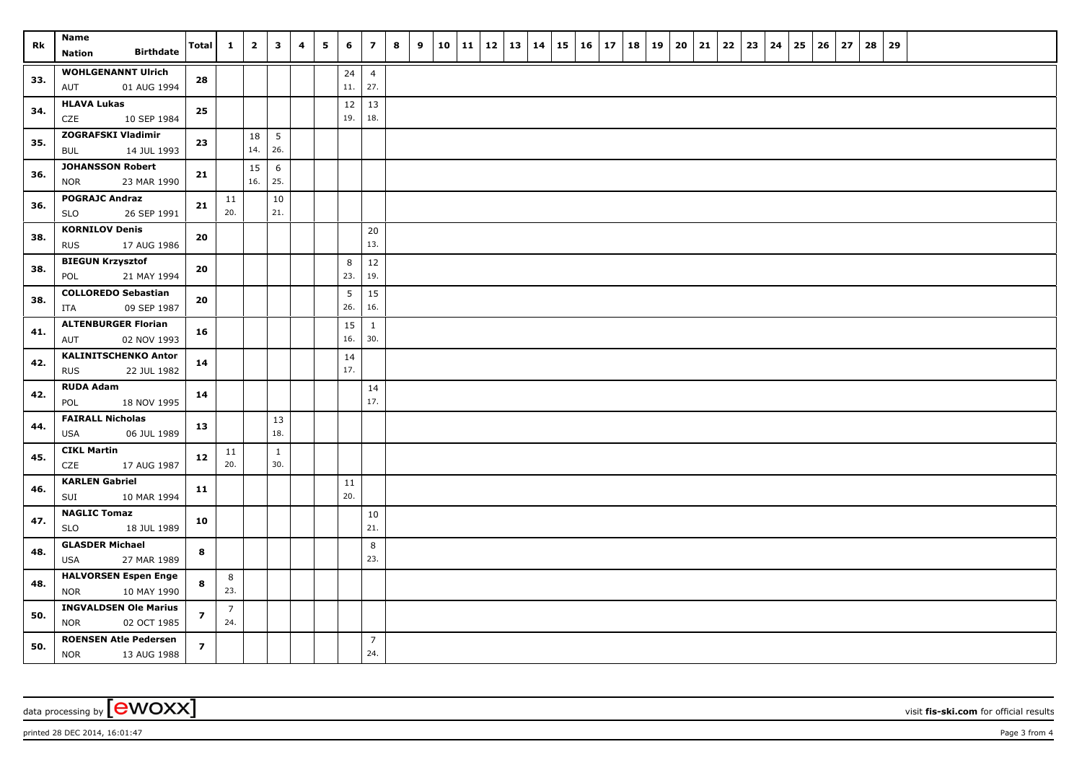| Rk  | <b>Name</b>                                               | Total          | $\mathbf{1}$          | $\overline{2}$ | $\mathbf{3}$           | 4 | 5 | 6                      | $\overline{\mathbf{z}}$ | 8 | 9 | 10 | 11 | 12 | 13 | 14 | $15 \mid 16$ | 17 | 18 | 19 | 20 | 21 | $22 \mid 23$ | 24 | 25 | 26 | 27 | 28 | 29 |  |  |  |
|-----|-----------------------------------------------------------|----------------|-----------------------|----------------|------------------------|---|---|------------------------|-------------------------|---|---|----|----|----|----|----|--------------|----|----|----|----|----|--------------|----|----|----|----|----|----|--|--|--|
|     | <b>Birthdate</b><br><b>Nation</b>                         |                |                       |                |                        |   |   |                        |                         |   |   |    |    |    |    |    |              |    |    |    |    |    |              |    |    |    |    |    |    |  |  |  |
| 33. | <b>WOHLGENANNT Ulrich</b><br>01 AUG 1994<br>AUT           | 28             |                       |                |                        |   |   | 24<br>11.              | $\overline{4}$<br>27.   |   |   |    |    |    |    |    |              |    |    |    |    |    |              |    |    |    |    |    |    |  |  |  |
| 34. | <b>HLAVA Lukas</b><br>CZE<br>10 SEP 1984                  | 25             |                       |                |                        |   |   | 12<br>19.              | 13<br>18.               |   |   |    |    |    |    |    |              |    |    |    |    |    |              |    |    |    |    |    |    |  |  |  |
| 35. | <b>ZOGRAFSKI Vladimir</b><br><b>BUL</b><br>14 JUL 1993    | 23             |                       | 18<br>14.      | $5\phantom{.0}$<br>26. |   |   |                        |                         |   |   |    |    |    |    |    |              |    |    |    |    |    |              |    |    |    |    |    |    |  |  |  |
| 36. | <b>JOHANSSON Robert</b><br>23 MAR 1990<br><b>NOR</b>      | 21             |                       | 15<br>16.      | 6<br>25.               |   |   |                        |                         |   |   |    |    |    |    |    |              |    |    |    |    |    |              |    |    |    |    |    |    |  |  |  |
|     |                                                           |                |                       |                |                        |   |   |                        |                         |   |   |    |    |    |    |    |              |    |    |    |    |    |              |    |    |    |    |    |    |  |  |  |
| 36. | <b>POGRAJC Andraz</b><br><b>SLO</b><br>26 SEP 1991        | 21             | 11<br>20.             |                | 10<br>21.              |   |   |                        |                         |   |   |    |    |    |    |    |              |    |    |    |    |    |              |    |    |    |    |    |    |  |  |  |
| 38. | <b>KORNILOV Denis</b><br><b>RUS</b><br>17 AUG 1986        | 20             |                       |                |                        |   |   |                        | 20<br>13.               |   |   |    |    |    |    |    |              |    |    |    |    |    |              |    |    |    |    |    |    |  |  |  |
| 38. | <b>BIEGUN Krzysztof</b><br>21 MAY 1994<br>POL             | 20             |                       |                |                        |   |   | 8<br>23.               | $12\,$<br>19.           |   |   |    |    |    |    |    |              |    |    |    |    |    |              |    |    |    |    |    |    |  |  |  |
| 38. | <b>COLLOREDO Sebastian</b><br>09 SEP 1987<br>ITA          | 20             |                       |                |                        |   |   | $5\phantom{.0}$<br>26. | 15<br>16.               |   |   |    |    |    |    |    |              |    |    |    |    |    |              |    |    |    |    |    |    |  |  |  |
|     | <b>ALTENBURGER Florian</b>                                |                |                       |                |                        |   |   | 15                     | $\mathbf{1}$            |   |   |    |    |    |    |    |              |    |    |    |    |    |              |    |    |    |    |    |    |  |  |  |
| 41. | 02 NOV 1993<br>AUT                                        | 16             |                       |                |                        |   |   | 16.                    | 30.                     |   |   |    |    |    |    |    |              |    |    |    |    |    |              |    |    |    |    |    |    |  |  |  |
| 42. | <b>KALINITSCHENKO Anton</b><br><b>RUS</b><br>22 JUL 1982  | 14             |                       |                |                        |   |   | 14<br>17.              |                         |   |   |    |    |    |    |    |              |    |    |    |    |    |              |    |    |    |    |    |    |  |  |  |
| 42. | <b>RUDA Adam</b><br>18 NOV 1995<br>POL                    | 14             |                       |                |                        |   |   |                        | 14<br>17.               |   |   |    |    |    |    |    |              |    |    |    |    |    |              |    |    |    |    |    |    |  |  |  |
| 44. | <b>FAIRALL Nicholas</b><br><b>USA</b><br>06 JUL 1989      | 13             |                       |                | 13<br>18.              |   |   |                        |                         |   |   |    |    |    |    |    |              |    |    |    |    |    |              |    |    |    |    |    |    |  |  |  |
| 45. | <b>CIKL Martin</b><br>CZE<br>17 AUG 1987                  | ${\bf 12}$     | 11<br>20.             |                | $\mathbf{1}$<br>30.    |   |   |                        |                         |   |   |    |    |    |    |    |              |    |    |    |    |    |              |    |    |    |    |    |    |  |  |  |
| 46. | <b>KARLEN Gabriel</b><br>10 MAR 1994<br>SUI               | 11             |                       |                |                        |   |   | $11\,$<br>20.          |                         |   |   |    |    |    |    |    |              |    |    |    |    |    |              |    |    |    |    |    |    |  |  |  |
| 47. | <b>NAGLIC Tomaz</b><br><b>SLO</b><br>18 JUL 1989          | 10             |                       |                |                        |   |   |                        | 10<br>21.               |   |   |    |    |    |    |    |              |    |    |    |    |    |              |    |    |    |    |    |    |  |  |  |
| 48. | <b>GLASDER Michael</b><br>27 MAR 1989<br><b>USA</b>       | 8              |                       |                |                        |   |   |                        | 8<br>23.                |   |   |    |    |    |    |    |              |    |    |    |    |    |              |    |    |    |    |    |    |  |  |  |
| 48. | <b>HALVORSEN Espen Enge</b><br><b>NOR</b><br>10 MAY 1990  | 8              | 8<br>23.              |                |                        |   |   |                        |                         |   |   |    |    |    |    |    |              |    |    |    |    |    |              |    |    |    |    |    |    |  |  |  |
| 50. | <b>INGVALDSEN Ole Marius</b><br><b>NOR</b><br>02 OCT 1985 | $\overline{z}$ | $\overline{7}$<br>24. |                |                        |   |   |                        |                         |   |   |    |    |    |    |    |              |    |    |    |    |    |              |    |    |    |    |    |    |  |  |  |
| 50. | <b>ROENSEN Atle Pedersen</b><br><b>NOR</b><br>13 AUG 1988 | $\overline{z}$ |                       |                |                        |   |   |                        | $\overline{7}$<br>24.   |   |   |    |    |    |    |    |              |    |    |    |    |    |              |    |    |    |    |    |    |  |  |  |

data processing by **CWOXX** visit **fis-ski.com** for official results

printed 28 DEC 2014, 16:01:47 **Page 3** from 4